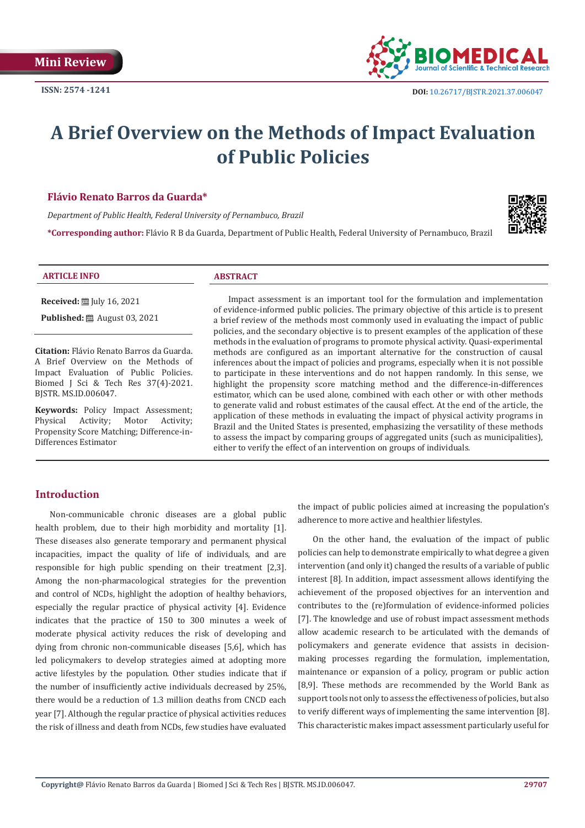

# **A Brief Overview on the Methods of Impact Evaluation of Public Policies**

# **Flávio Renato Barros da Guarda\***

*Department of Public Health, Federal University of Pernambuco, Brazil*

**\*Corresponding author:** Flávio R B da Guarda, Department of Public Health, Federal University of Pernambuco, Brazil



#### **ARTICLE INFO ABSTRACT**

**Received:** ■ July 16, 2021

**Published:** ■ August 03, 2021

**Citation:** Flávio Renato Barros da Guarda. A Brief Overview on the Methods of Impact Evaluation of Public Policies. Biomed J Sci & Tech Res 37(4)-2021. BJSTR. MS.ID.006047.

**Keywords:** Policy Impact Assessment;<br>Physical Activity; Motor Activity; Physical Activity; Motor Activity; Propensity Score Matching; Difference-in-Differences Estimator

Impact assessment is an important tool for the formulation and implementation of evidence-informed public policies. The primary objective of this article is to present a brief review of the methods most commonly used in evaluating the impact of public policies, and the secondary objective is to present examples of the application of these methods in the evaluation of programs to promote physical activity. Quasi-experimental methods are configured as an important alternative for the construction of causal inferences about the impact of policies and programs, especially when it is not possible to participate in these interventions and do not happen randomly. In this sense, we highlight the propensity score matching method and the difference-in-differences estimator, which can be used alone, combined with each other or with other methods to generate valid and robust estimates of the causal effect. At the end of the article, the application of these methods in evaluating the impact of physical activity programs in Brazil and the United States is presented, emphasizing the versatility of these methods to assess the impact by comparing groups of aggregated units (such as municipalities), either to verify the effect of an intervention on groups of individuals.

# **Introduction**

Non-communicable chronic diseases are a global public health problem, due to their high morbidity and mortality [1]. These diseases also generate temporary and permanent physical incapacities, impact the quality of life of individuals, and are responsible for high public spending on their treatment [2,3]. Among the non-pharmacological strategies for the prevention and control of NCDs, highlight the adoption of healthy behaviors, especially the regular practice of physical activity [4]. Evidence indicates that the practice of 150 to 300 minutes a week of moderate physical activity reduces the risk of developing and dying from chronic non-communicable diseases [5,6], which has led policymakers to develop strategies aimed at adopting more active lifestyles by the population. Other studies indicate that if the number of insufficiently active individuals decreased by 25%, there would be a reduction of 1.3 million deaths from CNCD each year [7]. Although the regular practice of physical activities reduces the risk of illness and death from NCDs, few studies have evaluated

the impact of public policies aimed at increasing the population's adherence to more active and healthier lifestyles.

On the other hand, the evaluation of the impact of public policies can help to demonstrate empirically to what degree a given intervention (and only it) changed the results of a variable of public interest [8]. In addition, impact assessment allows identifying the achievement of the proposed objectives for an intervention and contributes to the (re)formulation of evidence-informed policies [7]. The knowledge and use of robust impact assessment methods allow academic research to be articulated with the demands of policymakers and generate evidence that assists in decisionmaking processes regarding the formulation, implementation, maintenance or expansion of a policy, program or public action [8,9]. These methods are recommended by the World Bank as support tools not only to assess the effectiveness of policies, but also to verify different ways of implementing the same intervention [8]. This characteristic makes impact assessment particularly useful for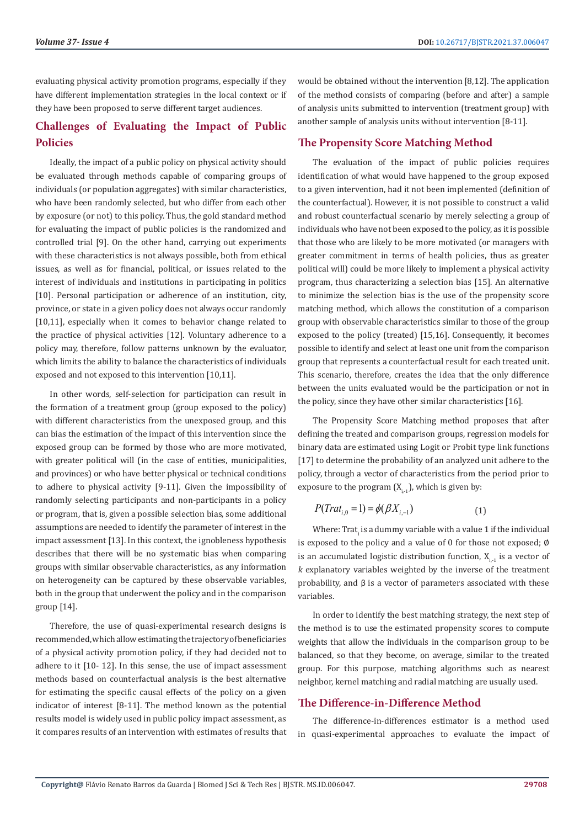evaluating physical activity promotion programs, especially if they have different implementation strategies in the local context or if they have been proposed to serve different target audiences.

# **Challenges of Evaluating the Impact of Public Policies**

Ideally, the impact of a public policy on physical activity should be evaluated through methods capable of comparing groups of individuals (or population aggregates) with similar characteristics, who have been randomly selected, but who differ from each other by exposure (or not) to this policy. Thus, the gold standard method for evaluating the impact of public policies is the randomized and controlled trial [9]. On the other hand, carrying out experiments with these characteristics is not always possible, both from ethical issues, as well as for financial, political, or issues related to the interest of individuals and institutions in participating in politics [10]. Personal participation or adherence of an institution, city, province, or state in a given policy does not always occur randomly [10,11], especially when it comes to behavior change related to the practice of physical activities [12]. Voluntary adherence to a policy may, therefore, follow patterns unknown by the evaluator, which limits the ability to balance the characteristics of individuals exposed and not exposed to this intervention [10,11].

In other words, self-selection for participation can result in the formation of a treatment group (group exposed to the policy) with different characteristics from the unexposed group, and this can bias the estimation of the impact of this intervention since the exposed group can be formed by those who are more motivated, with greater political will (in the case of entities, municipalities, and provinces) or who have better physical or technical conditions to adhere to physical activity [9-11]. Given the impossibility of randomly selecting participants and non-participants in a policy or program, that is, given a possible selection bias, some additional assumptions are needed to identify the parameter of interest in the impact assessment [13]. In this context, the ignobleness hypothesis describes that there will be no systematic bias when comparing groups with similar observable characteristics, as any information on heterogeneity can be captured by these observable variables, both in the group that underwent the policy and in the comparison group [14].

Therefore, the use of quasi-experimental research designs is recommended, which allow estimating the trajectory of beneficiaries of a physical activity promotion policy, if they had decided not to adhere to it [10- 12]. In this sense, the use of impact assessment methods based on counterfactual analysis is the best alternative for estimating the specific causal effects of the policy on a given indicator of interest [8-11]. The method known as the potential results model is widely used in public policy impact assessment, as it compares results of an intervention with estimates of results that would be obtained without the intervention [8,12]. The application of the method consists of comparing (before and after) a sample of analysis units submitted to intervention (treatment group) with another sample of analysis units without intervention [8-11].

# **The Propensity Score Matching Method**

The evaluation of the impact of public policies requires identification of what would have happened to the group exposed to a given intervention, had it not been implemented (definition of the counterfactual). However, it is not possible to construct a valid and robust counterfactual scenario by merely selecting a group of individuals who have not been exposed to the policy, as it is possible that those who are likely to be more motivated (or managers with greater commitment in terms of health policies, thus as greater political will) could be more likely to implement a physical activity program, thus characterizing a selection bias [15]. An alternative to minimize the selection bias is the use of the propensity score matching method, which allows the constitution of a comparison group with observable characteristics similar to those of the group exposed to the policy (treated) [15,16]. Consequently, it becomes possible to identify and select at least one unit from the comparison group that represents a counterfactual result for each treated unit. This scenario, therefore, creates the idea that the only difference between the units evaluated would be the participation or not in the policy, since they have other similar characteristics [16].

The Propensity Score Matching method proposes that after defining the treated and comparison groups, regression models for binary data are estimated using Logit or Probit type link functions [17] to determine the probability of an analyzed unit adhere to the policy, through a vector of characteristics from the period prior to exposure to the program  $(X_{i-1})$ , which is given by:

$$
P(Trat_{i,0} = 1) = \phi(\beta X_{i,-1})
$$
\n(1)

Where: Trat $\frac{1}{4}$  is a dummy variable with a value 1 if the individual is exposed to the policy and a value of 0 for those not exposed; ∅ is an accumulated logistic distribution function,  $X_{i-1}$  is a vector of *k* explanatory variables weighted by the inverse of the treatment probability, and β is a vector of parameters associated with these variables.

In order to identify the best matching strategy, the next step of the method is to use the estimated propensity scores to compute weights that allow the individuals in the comparison group to be balanced, so that they become, on average, similar to the treated group. For this purpose, matching algorithms such as nearest neighbor, kernel matching and radial matching are usually used.

# **The Difference-in-Difference Method**

The difference-in-differences estimator is a method used in quasi-experimental approaches to evaluate the impact of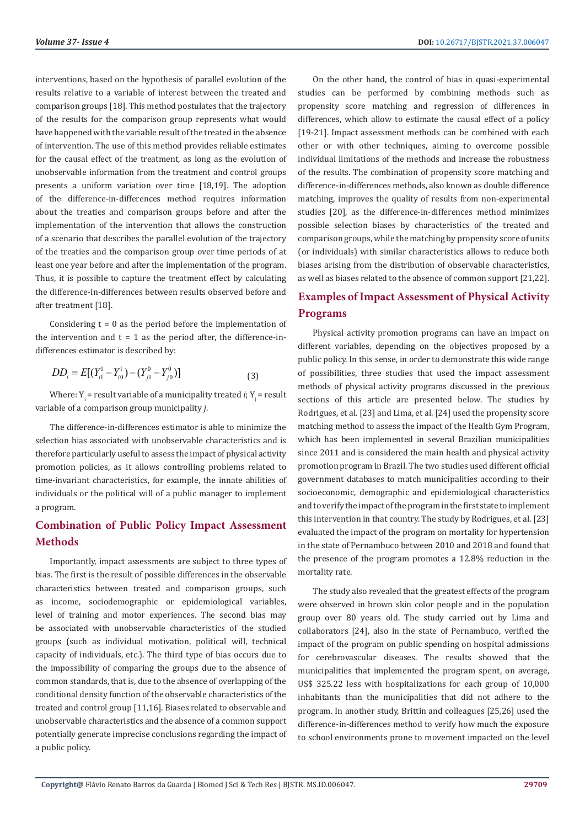interventions, based on the hypothesis of parallel evolution of the results relative to a variable of interest between the treated and comparison groups [18]. This method postulates that the trajectory of the results for the comparison group represents what would have happened with the variable result of the treated in the absence of intervention. The use of this method provides reliable estimates for the causal effect of the treatment, as long as the evolution of unobservable information from the treatment and control groups presents a uniform variation over time [18,19]. The adoption of the difference-in-differences method requires information about the treaties and comparison groups before and after the implementation of the intervention that allows the construction of a scenario that describes the parallel evolution of the trajectory of the treaties and the comparison group over time periods of at least one year before and after the implementation of the program. Thus, it is possible to capture the treatment effect by calculating the difference-in-differences between results observed before and after treatment [18].

Considering  $t = 0$  as the period before the implementation of the intervention and  $t = 1$  as the period after, the difference-indifferences estimator is described by:

$$
DD_i = E[(Y_{i1}^1 - Y_{i0}^1) - (Y_{j1}^0 - Y_{j0}^0)]
$$
\n(3)

Where:  $Y_i$  = result variable of a municipality treated *i*;  $Y_j$  = result variable of a comparison group municipality *j*.

The difference-in-differences estimator is able to minimize the selection bias associated with unobservable characteristics and is therefore particularly useful to assess the impact of physical activity promotion policies, as it allows controlling problems related to time-invariant characteristics, for example, the innate abilities of individuals or the political will of a public manager to implement a program.

# **Combination of Public Policy Impact Assessment Methods**

Importantly, impact assessments are subject to three types of bias. The first is the result of possible differences in the observable characteristics between treated and comparison groups, such as income, sociodemographic or epidemiological variables, level of training and motor experiences. The second bias may be associated with unobservable characteristics of the studied groups (such as individual motivation, political will, technical capacity of individuals, etc.). The third type of bias occurs due to the impossibility of comparing the groups due to the absence of common standards, that is, due to the absence of overlapping of the conditional density function of the observable characteristics of the treated and control group [11,16]. Biases related to observable and unobservable characteristics and the absence of a common support potentially generate imprecise conclusions regarding the impact of a public policy.

On the other hand, the control of bias in quasi-experimental studies can be performed by combining methods such as propensity score matching and regression of differences in differences, which allow to estimate the causal effect of a policy [19-21]. Impact assessment methods can be combined with each other or with other techniques, aiming to overcome possible individual limitations of the methods and increase the robustness of the results. The combination of propensity score matching and difference-in-differences methods, also known as double difference matching, improves the quality of results from non-experimental studies [20], as the difference-in-differences method minimizes possible selection biases by characteristics of the treated and comparison groups, while the matching by propensity score of units (or individuals) with similar characteristics allows to reduce both biases arising from the distribution of observable characteristics, as well as biases related to the absence of common support [21,22].

# **Examples of Impact Assessment of Physical Activity Programs**

Physical activity promotion programs can have an impact on different variables, depending on the objectives proposed by a public policy. In this sense, in order to demonstrate this wide range of possibilities, three studies that used the impact assessment methods of physical activity programs discussed in the previous sections of this article are presented below. The studies by Rodrigues, et al. [23] and Lima, et al. [24] used the propensity score matching method to assess the impact of the Health Gym Program, which has been implemented in several Brazilian municipalities since 2011 and is considered the main health and physical activity promotion program in Brazil. The two studies used different official government databases to match municipalities according to their socioeconomic, demographic and epidemiological characteristics and to verify the impact of the program in the first state to implement this intervention in that country. The study by Rodrigues, et al. [23] evaluated the impact of the program on mortality for hypertension in the state of Pernambuco between 2010 and 2018 and found that the presence of the program promotes a 12.8% reduction in the mortality rate.

The study also revealed that the greatest effects of the program were observed in brown skin color people and in the population group over 80 years old. The study carried out by Lima and collaborators [24], also in the state of Pernambuco, verified the impact of the program on public spending on hospital admissions for cerebrovascular diseases. The results showed that the municipalities that implemented the program spent, on average, US\$ 325.22 less with hospitalizations for each group of 10,000 inhabitants than the municipalities that did not adhere to the program. In another study, Brittin and colleagues [25,26] used the difference-in-differences method to verify how much the exposure to school environments prone to movement impacted on the level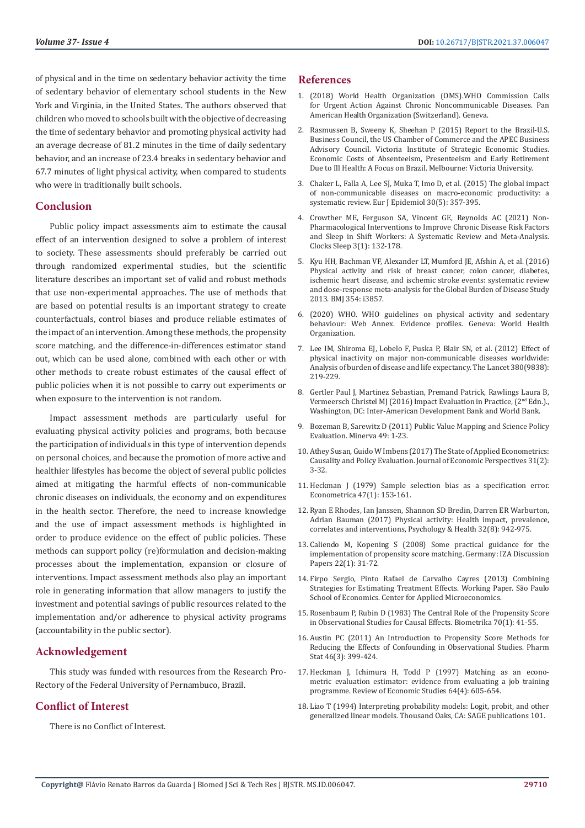of physical and in the time on sedentary behavior activity the time of sedentary behavior of elementary school students in the New York and Virginia, in the United States. The authors observed that children who moved to schools built with the objective of decreasing the time of sedentary behavior and promoting physical activity had an average decrease of 81.2 minutes in the time of daily sedentary behavior, and an increase of 23.4 breaks in sedentary behavior and 67.7 minutes of light physical activity, when compared to students who were in traditionally built schools.

# **Conclusion**

Public policy impact assessments aim to estimate the causal effect of an intervention designed to solve a problem of interest to society. These assessments should preferably be carried out through randomized experimental studies, but the scientific literature describes an important set of valid and robust methods that use non-experimental approaches. The use of methods that are based on potential results is an important strategy to create counterfactuals, control biases and produce reliable estimates of the impact of an intervention. Among these methods, the propensity score matching, and the difference-in-differences estimator stand out, which can be used alone, combined with each other or with other methods to create robust estimates of the causal effect of public policies when it is not possible to carry out experiments or when exposure to the intervention is not random.

Impact assessment methods are particularly useful for evaluating physical activity policies and programs, both because the participation of individuals in this type of intervention depends on personal choices, and because the promotion of more active and healthier lifestyles has become the object of several public policies aimed at mitigating the harmful effects of non-communicable chronic diseases on individuals, the economy and on expenditures in the health sector. Therefore, the need to increase knowledge and the use of impact assessment methods is highlighted in order to produce evidence on the effect of public policies. These methods can support policy (re)formulation and decision-making processes about the implementation, expansion or closure of interventions. Impact assessment methods also play an important role in generating information that allow managers to justify the investment and potential savings of public resources related to the implementation and/or adherence to physical activity programs (accountability in the public sector).

# **Acknowledgement**

This study was funded with resources from the Research Pro-Rectory of the Federal University of Pernambuco, Brazil.

# **Conflict of Interest**

There is no Conflict of Interest.

## **References**

- 1. [\(2018\) World Health Organization \(OMS\).WHO Commission Calls](https://www.who.int/news/item/01-06-2018-commission-calls-for-urgent-action-against-chronic-diseases) [for Urgent Action Against Chronic Noncommunicable Diseases. Pan](https://www.who.int/news/item/01-06-2018-commission-calls-for-urgent-action-against-chronic-diseases) [American Health Organization \(Switzerland\). Geneva.](https://www.who.int/news/item/01-06-2018-commission-calls-for-urgent-action-against-chronic-diseases)
- 2. [Rasmussen B, Sweeny K, Sheehan P \(2015\) Report to the Brazil-U.S.](https://www.brazilcouncil.org/wp-content/uploads/2016/04/Econ.-Cost-of-Absenteeism-Presenteeism-and-Early-Retirement-due-to-ill-health-Brazil.pdf) [Business Council, the US Chamber of Commerce and the APEC Business](https://www.brazilcouncil.org/wp-content/uploads/2016/04/Econ.-Cost-of-Absenteeism-Presenteeism-and-Early-Retirement-due-to-ill-health-Brazil.pdf) [Advisory Council. Victoria Institute of Strategic Economic Studies.](https://www.brazilcouncil.org/wp-content/uploads/2016/04/Econ.-Cost-of-Absenteeism-Presenteeism-and-Early-Retirement-due-to-ill-health-Brazil.pdf) [Economic Costs of Absenteeism, Presenteeism and Early Retirement](https://www.brazilcouncil.org/wp-content/uploads/2016/04/Econ.-Cost-of-Absenteeism-Presenteeism-and-Early-Retirement-due-to-ill-health-Brazil.pdf) [Due to Ill Health: A Focus on Brazil. Melbourne: Victoria University.](https://www.brazilcouncil.org/wp-content/uploads/2016/04/Econ.-Cost-of-Absenteeism-Presenteeism-and-Early-Retirement-due-to-ill-health-Brazil.pdf)
- 3. [Chaker L, Falla A, Lee SJ, Muka T, Imo D, et al. \(2015\) The global impact](https://pubmed.ncbi.nlm.nih.gov/25837965/) [of non-communicable diseases on macro-economic productivity: a](https://pubmed.ncbi.nlm.nih.gov/25837965/) [systematic review. Eur J Epidemiol 30\(5\): 357-395.](https://pubmed.ncbi.nlm.nih.gov/25837965/)
- 4. [Crowther ME, Ferguson SA, Vincent GE, Reynolds AC \(2021\) Non-](https://pubmed.ncbi.nlm.nih.gov/33525534/)[Pharmacological Interventions to Improve Chronic Disease Risk Factors](https://pubmed.ncbi.nlm.nih.gov/33525534/) [and Sleep in Shift Workers: A Systematic Review and Meta-Analysis.](https://pubmed.ncbi.nlm.nih.gov/33525534/) [Clocks Sleep 3\(1\): 132-178.](https://pubmed.ncbi.nlm.nih.gov/33525534/)
- 5. [Kyu HH, Bachman VF, Alexander LT, Mumford JE, Afshin A, et al. \(2016\)](https://pubmed.ncbi.nlm.nih.gov/27510511/) [Physical activity and risk of breast cancer, colon cancer, diabetes,](https://pubmed.ncbi.nlm.nih.gov/27510511/) [ischemic heart disease, and ischemic stroke events: systematic review](https://pubmed.ncbi.nlm.nih.gov/27510511/) [and dose-response meta-analysis for the Global Burden of Disease Study](https://pubmed.ncbi.nlm.nih.gov/27510511/) [2013. BMJ 354: i3857.](https://pubmed.ncbi.nlm.nih.gov/27510511/)
- 6. [\(2020\) WHO. WHO guidelines on physical activity and sedentary](https://apps.who.int/iris/handle/10665/336657) [behaviour: Web Annex. Evidence profiles. Geneva: World Health](https://apps.who.int/iris/handle/10665/336657) [Organization.](https://apps.who.int/iris/handle/10665/336657)
- 7. [Lee IM, Shiroma EJ, Lobelo F, Puska P, Blair SN, et al. \(2012\) Effect of](https://pubmed.ncbi.nlm.nih.gov/22818936/) [physical inactivity on major non-communicable diseases worldwide:](https://pubmed.ncbi.nlm.nih.gov/22818936/) [Analysis of burden of disease and life expectancy. The Lancet 380\(9838\):](https://pubmed.ncbi.nlm.nih.gov/22818936/) [219-229.](https://pubmed.ncbi.nlm.nih.gov/22818936/)
- 8. [Gertler Paul J, Martinez Sebastian, Premand Patrick, Rawlings Laura B,](https://openknowledge.worldbank.org/handle/10986/25030) [Vermeersch Christel MJ \(2016\) Impact Evaluation in Practice, \(2nd Edn.\).,](https://openknowledge.worldbank.org/handle/10986/25030) [Washington, DC: Inter-American Development Bank and World Bank.](https://openknowledge.worldbank.org/handle/10986/25030)
- 9. [Bozeman B, Sarewitz D \(2011\) Public Value Mapping and Science Policy](https://link.springer.com/article/10.1007/s11024-011-9161-7) [Evaluation. Minerva 49: 1-23.](https://link.springer.com/article/10.1007/s11024-011-9161-7)
- 10. [Athey Susan, Guido W Imbens \(2017\) The State of Applied Econometrics:](https://www.aeaweb.org/articles?id=10.1257/jep.31.2.3) [Causality and Policy Evaluation. Journal of Economic Perspectives 31\(2\):](https://www.aeaweb.org/articles?id=10.1257/jep.31.2.3) [3-32.](https://www.aeaweb.org/articles?id=10.1257/jep.31.2.3)
- 11. [Heckman J \(1979\) Sample selection bias as a specification error.](https://www.jstor.org/stable/1912352) [Econometrica 47\(1\): 153-161.](https://www.jstor.org/stable/1912352)
- 12. [Ryan E Rhodes, Ian Janssen, Shannon SD Bredin, Darren ER Warburton,](https://pubmed.ncbi.nlm.nih.gov/28554222/) [Adrian Bauman \(2017\) Physical activity: Health impact, prevalence,](https://pubmed.ncbi.nlm.nih.gov/28554222/) [correlates and interventions, Psychology & Health 32\(8\): 942-975.](https://pubmed.ncbi.nlm.nih.gov/28554222/)
- 13. [Caliendo M, Kopening S \(2008\) Some practical guidance for the](https://www.iza.org/publications/dp/1588/some-practical-guidance-for-the-implementation-of-propensity-score-matching) [implementation of propensity score matching. Germany: IZA Discussion](https://www.iza.org/publications/dp/1588/some-practical-guidance-for-the-implementation-of-propensity-score-matching) [Papers 22\(1\): 31-72.](https://www.iza.org/publications/dp/1588/some-practical-guidance-for-the-implementation-of-propensity-score-matching)
- 14. [Firpo Sergio, Pinto Rafael de Carvalho Cayres \(2013\) Combining](https://cmicro.fgv.br/sites/cmicro.fgv.br/files/file/WP_3_2013(2).pdf) [Strategies for Estimating Treatment Effects. Working Paper. S](https://cmicro.fgv.br/sites/cmicro.fgv.br/files/file/WP_3_2013(2).pdf)ão Paulo [School of Economics. Center for Applied Microeconomics.](https://cmicro.fgv.br/sites/cmicro.fgv.br/files/file/WP_3_2013(2).pdf)
- 15. [Rosenbaum P, Rubin D \(1983\) The Central Role of the Propensity Score](https://www.jstor.org/stable/2335942) [in Observational Studies for Causal Effects. Biometrika 70\(1\): 41-55.](https://www.jstor.org/stable/2335942)
- 16. [Austin PC \(2011\) An Introduction to Propensity Score Methods for](https://www.ncbi.nlm.nih.gov/pmc/articles/PMC3144483/) [Reducing the Effects of Confounding in Observational Studies. Pharm](https://www.ncbi.nlm.nih.gov/pmc/articles/PMC3144483/) [Stat 46\(3\): 399-424.](https://www.ncbi.nlm.nih.gov/pmc/articles/PMC3144483/)
- 17. [Heckman J, Ichimura H, Todd P \(1997\) Matching as an econo](https://www.jstor.org/stable/2971733)[metric evaluation estimator: evidence from evaluating a job training](https://www.jstor.org/stable/2971733) [programme. Review of Economic Studies 64\(4\): 605-654.](https://www.jstor.org/stable/2971733)
- 18. [Liao T \(1994\) Interpreting probability models: Logit, probit, and other](https://us.sagepub.com/en-us/nam/book/interpreting-probability-models) [generalized linear models. Thousand Oaks, CA: SAGE publications 101.](https://us.sagepub.com/en-us/nam/book/interpreting-probability-models)